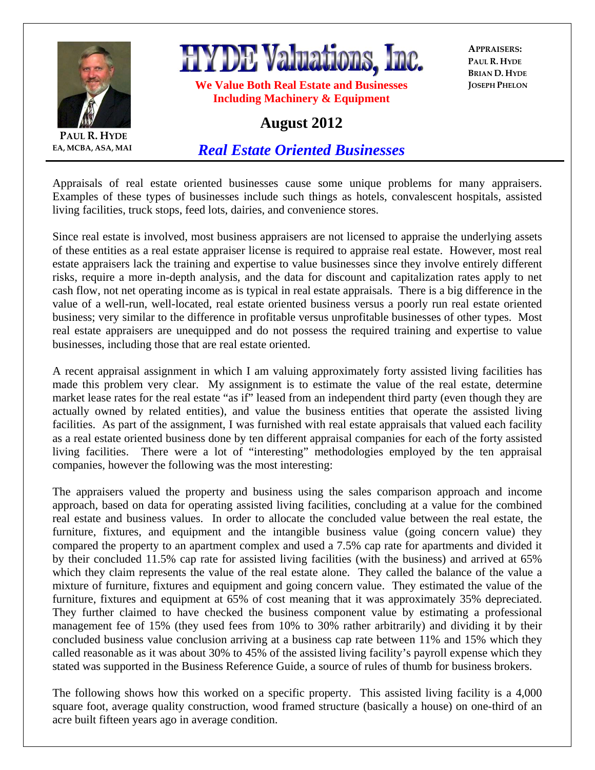

**PAUL R. HYDE EA, MCBA, ASA, MAI**

## **HYDE Valuations, Inc.**

**We Value Both Real Estate and Businesses Including Machinery & Equipment** 

**APPRAISERS: PAUL R. HYDE BRIAN D. HYDE JOSEPH PHELON**

## **August 2012**

*Real Estate Oriented Businesses*

Appraisals of real estate oriented businesses cause some unique problems for many appraisers. Examples of these types of businesses include such things as hotels, convalescent hospitals, assisted living facilities, truck stops, feed lots, dairies, and convenience stores.

Since real estate is involved, most business appraisers are not licensed to appraise the underlying assets of these entities as a real estate appraiser license is required to appraise real estate. However, most real estate appraisers lack the training and expertise to value businesses since they involve entirely different risks, require a more in-depth analysis, and the data for discount and capitalization rates apply to net cash flow, not net operating income as is typical in real estate appraisals. There is a big difference in the value of a well-run, well-located, real estate oriented business versus a poorly run real estate oriented business; very similar to the difference in profitable versus unprofitable businesses of other types. Most real estate appraisers are unequipped and do not possess the required training and expertise to value businesses, including those that are real estate oriented.

A recent appraisal assignment in which I am valuing approximately forty assisted living facilities has made this problem very clear. My assignment is to estimate the value of the real estate, determine market lease rates for the real estate "as if" leased from an independent third party (even though they are actually owned by related entities), and value the business entities that operate the assisted living facilities. As part of the assignment, I was furnished with real estate appraisals that valued each facility as a real estate oriented business done by ten different appraisal companies for each of the forty assisted living facilities. There were a lot of "interesting" methodologies employed by the ten appraisal companies, however the following was the most interesting:

The appraisers valued the property and business using the sales comparison approach and income approach, based on data for operating assisted living facilities, concluding at a value for the combined real estate and business values. In order to allocate the concluded value between the real estate, the furniture, fixtures, and equipment and the intangible business value (going concern value) they compared the property to an apartment complex and used a 7.5% cap rate for apartments and divided it by their concluded 11.5% cap rate for assisted living facilities (with the business) and arrived at 65% which they claim represents the value of the real estate alone. They called the balance of the value a mixture of furniture, fixtures and equipment and going concern value. They estimated the value of the furniture, fixtures and equipment at 65% of cost meaning that it was approximately 35% depreciated. They further claimed to have checked the business component value by estimating a professional management fee of 15% (they used fees from 10% to 30% rather arbitrarily) and dividing it by their concluded business value conclusion arriving at a business cap rate between 11% and 15% which they called reasonable as it was about 30% to 45% of the assisted living facility's payroll expense which they stated was supported in the Business Reference Guide, a source of rules of thumb for business brokers.

The following shows how this worked on a specific property. This assisted living facility is a 4,000 square foot, average quality construction, wood framed structure (basically a house) on one-third of an acre built fifteen years ago in average condition.